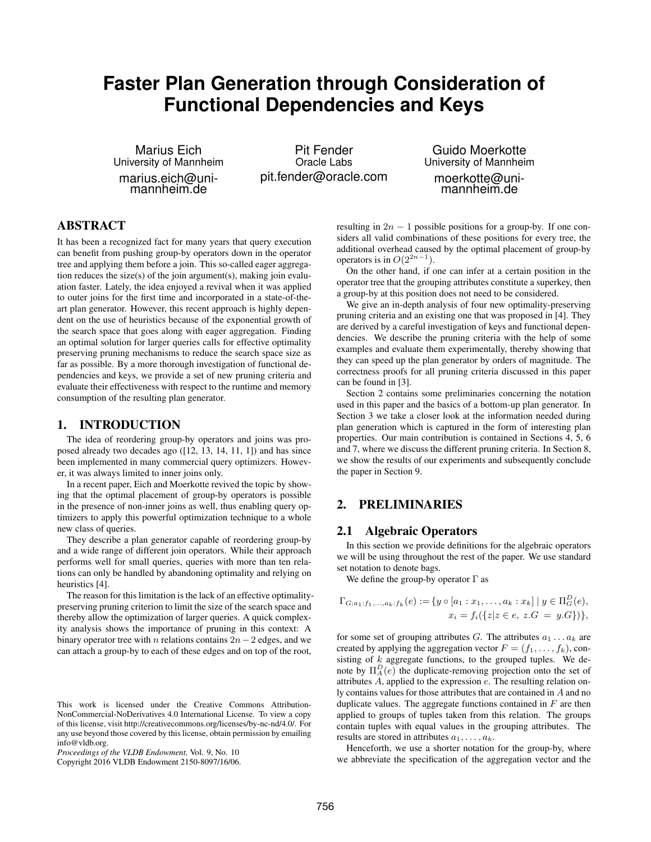# **Faster Plan Generation through Consideration of Functional Dependencies and Keys**

Marius Eich University of Mannheim marius.eich@unimannheim.de

Pit Fender Oracle Labs pit.fender@oracle.com

Guido Moerkotte University of Mannheim moerkotte@unimannheim.de

# ABSTRACT

It has been a recognized fact for many years that query execution can benefit from pushing group-by operators down in the operator tree and applying them before a join. This so-called eager aggregation reduces the size(s) of the join argument(s), making join evaluation faster. Lately, the idea enjoyed a revival when it was applied to outer joins for the first time and incorporated in a state-of-theart plan generator. However, this recent approach is highly dependent on the use of heuristics because of the exponential growth of the search space that goes along with eager aggregation. Finding an optimal solution for larger queries calls for effective optimality preserving pruning mechanisms to reduce the search space size as far as possible. By a more thorough investigation of functional dependencies and keys, we provide a set of new pruning criteria and evaluate their effectiveness with respect to the runtime and memory consumption of the resulting plan generator.

## 1. INTRODUCTION

The idea of reordering group-by operators and joins was proposed already two decades ago ([12, 13, 14, 11, 1]) and has since been implemented in many commercial query optimizers. However, it was always limited to inner joins only.

In a recent paper, Eich and Moerkotte revived the topic by showing that the optimal placement of group-by operators is possible in the presence of non-inner joins as well, thus enabling query optimizers to apply this powerful optimization technique to a whole new class of queries.

They describe a plan generator capable of reordering group-by and a wide range of different join operators. While their approach performs well for small queries, queries with more than ten relations can only be handled by abandoning optimality and relying on heuristics [4].

The reason for this limitation is the lack of an effective optimalitypreserving pruning criterion to limit the size of the search space and thereby allow the optimization of larger queries. A quick complexity analysis shows the importance of pruning in this context: A binary operator tree with n relations contains  $2n-2$  edges, and we can attach a group-by to each of these edges and on top of the root,

Copyright 2016 VLDB Endowment 2150-8097/16/06.

resulting in  $2n - 1$  possible positions for a group-by. If one considers all valid combinations of these positions for every tree, the additional overhead caused by the optimal placement of group-by operators is in  $O(2^{2n-1})$ .

On the other hand, if one can infer at a certain position in the operator tree that the grouping attributes constitute a superkey, then a group-by at this position does not need to be considered.

We give an in-depth analysis of four new optimality-preserving pruning criteria and an existing one that was proposed in [4]. They are derived by a careful investigation of keys and functional dependencies. We describe the pruning criteria with the help of some examples and evaluate them experimentally, thereby showing that they can speed up the plan generator by orders of magnitude. The correctness proofs for all pruning criteria discussed in this paper can be found in [3].

Section 2 contains some preliminaries concerning the notation used in this paper and the basics of a bottom-up plan generator. In Section 3 we take a closer look at the information needed during plan generation which is captured in the form of interesting plan properties. Our main contribution is contained in Sections 4, 5, 6 and 7, where we discuss the different pruning criteria. In Section 8, we show the results of our experiments and subsequently conclude the paper in Section 9.

# 2. PRELIMINARIES

# 2.1 Algebraic Operators

In this section we provide definitions for the algebraic operators we will be using throughout the rest of the paper. We use standard set notation to denote bags.

We define the group-by operator  $\Gamma$  as

$$
\Gamma_{G;a_1:f_1,...,a_k:f_k}(e) := \{y \circ [a_1:x_1,...,a_k:x_k] \mid y \in \Pi_G^D(e),
$$
  

$$
x_i = f_i(\{z \mid z \in e, z.G = y.G\})\},\
$$

for some set of grouping attributes G. The attributes  $a_1 \dots a_k$  are created by applying the aggregation vector  $F = (f_1, \ldots, f_k)$ , consisting of  $k$  aggregate functions, to the grouped tuples. We denote by  $\Pi_A^D(e)$  the duplicate-removing projection onto the set of attributes A, applied to the expression e. The resulting relation only contains values for those attributes that are contained in A and no duplicate values. The aggregate functions contained in  $F$  are then applied to groups of tuples taken from this relation. The groups contain tuples with equal values in the grouping attributes. The results are stored in attributes  $a_1, \ldots, a_k$ .

Henceforth, we use a shorter notation for the group-by, where we abbreviate the specification of the aggregation vector and the

This work is licensed under the Creative Commons Attribution-NonCommercial-NoDerivatives 4.0 International License. To view a copy of this license, visit http://creativecommons.org/licenses/by-nc-nd/4.0/. For any use beyond those covered by this license, obtain permission by emailing info@vldb.org.

*Proceedings of the VLDB Endowment,* Vol. 9, No. 10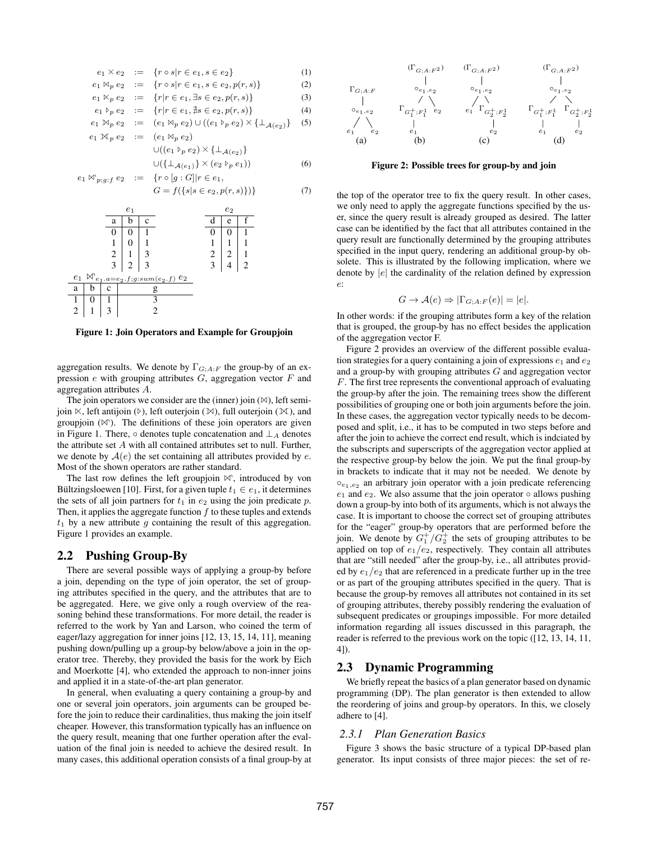$$
e_1 \times e_2 := \{r \circ s | r \in e_1, s \in e_2\} \tag{1}
$$
\n
$$
e_1 \times e_2 := \{r \circ s | r \in e_1, s \in e_2, p(r, s)\} \tag{2}
$$
\n
$$
e_1 \times_p e_2 := \{r | r \in e_1, \exists s \in e_2, p(r, s)\} \tag{3}
$$
\n
$$
e_1 \times_p e_2 := \{r | r \in e_1, \exists s \in e_2, p(r, s)\} \tag{4}
$$
\n
$$
e_1 \times_p e_2 := (e_1 \times_p e_2) \cup ((e_1 \times_p e_2) \times {\{\perp_{\mathcal{A}(e_2)\}} \} \tag{5}
$$
\n
$$
e_1 \times_p e_2 := (e_1 \times_p e_2) \cup ((e_1 \times_p e_2) \times {\{\perp_{\mathcal{A}(e_2)\}} \} \cup ((e_1 \times_p e_2) \times {\{\perp_{\mathcal{A}(e_2)\}} \} \cup ((e_1 \times_p e_2) \times {\{\perp_{\mathcal{A}(e_2)\}} \} \cup ((e_1 \times_p e_2) \times {\{\perp_{\mathcal{A}(e_2)\}} \} \cup ((e_1 \times_p e_2) \times {\{\perp_{\mathcal{A}(e_2)\}} \} \cup ((e_1 \times_p e_2 \times p(r, s))) \tag{6}
$$
\n
$$
e_1 \times_p g \cdot f \in e_2 := \{r \circ [g : G] | r \in e_1, \quad G = f({s | s \in e_2, p(r, s)})\} \tag{7}
$$



Figure 1: Join Operators and Example for Groupjoin

aggregation results. We denote by  $\Gamma_{G;A:F}$  the group-by of an expression  $e$  with grouping attributes  $G$ , aggregation vector  $F$  and aggregation attributes A.

The join operators we consider are the (inner) join  $(\bowtie)$ , left semijoin  $\ltimes$ , left antijoin ( $\triangleright$ ), left outerjoin ( $\ltimes$ ), full outerjoin ( $\ltimes$ ), and groupjoin  $(\mathbb{N})$ . The definitions of these join operators are given in Figure 1. There,  $\circ$  denotes tuple concatenation and  $\perp_A$  denotes the attribute set  $A$  with all contained attributes set to null. Further, we denote by  $A(e)$  the set containing all attributes provided by e. Most of the shown operators are rather standard.

The last row defines the left groupjoin  $\mathbb{M}$ , introduced by von Bültzingsloewen [10]. First, for a given tuple  $t_1 \in e_1$ , it determines the sets of all join partners for  $t_1$  in  $e_2$  using the join predicate  $p$ . Then, it applies the aggregate function  $f$  to these tuples and extends  $t_1$  by a new attribute g containing the result of this aggregation. Figure 1 provides an example.

## 2.2 Pushing Group-By

There are several possible ways of applying a group-by before a join, depending on the type of join operator, the set of grouping attributes specified in the query, and the attributes that are to be aggregated. Here, we give only a rough overview of the reasoning behind these transformations. For more detail, the reader is referred to the work by Yan and Larson, who coined the term of eager/lazy aggregation for inner joins [12, 13, 15, 14, 11], meaning pushing down/pulling up a group-by below/above a join in the operator tree. Thereby, they provided the basis for the work by Eich and Moerkotte [4], who extended the approach to non-inner joins and applied it in a state-of-the-art plan generator.

In general, when evaluating a query containing a group-by and one or several join operators, join arguments can be grouped before the join to reduce their cardinalities, thus making the join itself cheaper. However, this transformation typically has an influence on the query result, meaning that one further operation after the evaluation of the final join is needed to achieve the desired result. In many cases, this additional operation consists of a final group-by at



#### Figure 2: Possible trees for group-by and join

the top of the operator tree to fix the query result. In other cases, we only need to apply the aggregate functions specified by the user, since the query result is already grouped as desired. The latter case can be identified by the fact that all attributes contained in the query result are functionally determined by the grouping attributes specified in the input query, rendering an additional group-by obsolete. This is illustrated by the following implication, where we denote by  $|e|$  the cardinality of the relation defined by expression e:

$$
G \to \mathcal{A}(e) \Rightarrow |\Gamma_{G;A:F}(e)| = |e|.
$$

In other words: if the grouping attributes form a key of the relation that is grouped, the group-by has no effect besides the application of the aggregation vector F.

Figure 2 provides an overview of the different possible evaluation strategies for a query containing a join of expressions  $e_1$  and  $e_2$ and a group-by with grouping attributes G and aggregation vector F. The first tree represents the conventional approach of evaluating the group-by after the join. The remaining trees show the different possibilities of grouping one or both join arguments before the join. In these cases, the aggregation vector typically needs to be decomposed and split, i.e., it has to be computed in two steps before and after the join to achieve the correct end result, which is indciated by the subscripts and superscripts of the aggregation vector applied at the respective group-by below the join. We put the final group-by in brackets to indicate that it may not be needed. We denote by  $\circ_{e_1,e_2}$  an arbitrary join operator with a join predicate referencing  $e_1$  and  $e_2$ . We also assume that the join operator  $\circ$  allows pushing down a group-by into both of its arguments, which is not always the case. It is important to choose the correct set of grouping attributes for the "eager" group-by operators that are performed before the join. We denote by  $G_1^+/G_2^+$  the sets of grouping attributes to be applied on top of  $e_1/e_2$ , respectively. They contain all attributes that are "still needed" after the group-by, i.e., all attributes provided by  $e_1/e_2$  that are referenced in a predicate further up in the tree or as part of the grouping attributes specified in the query. That is because the group-by removes all attributes not contained in its set of grouping attributes, thereby possibly rendering the evaluation of subsequent predicates or groupings impossible. For more detailed information regarding all issues discussed in this paragraph, the reader is referred to the previous work on the topic ([12, 13, 14, 11, 4]).

## 2.3 Dynamic Programming

We briefly repeat the basics of a plan generator based on dynamic programming (DP). The plan generator is then extended to allow the reordering of joins and group-by operators. In this, we closely adhere to [4].

#### *2.3.1 Plan Generation Basics*

Figure 3 shows the basic structure of a typical DP-based plan generator. Its input consists of three major pieces: the set of re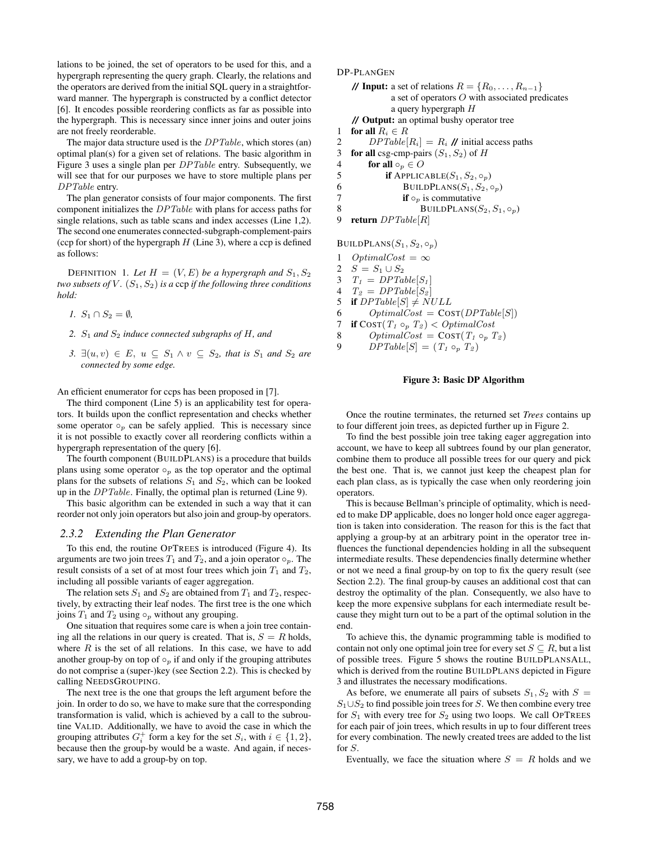lations to be joined, the set of operators to be used for this, and a hypergraph representing the query graph. Clearly, the relations and the operators are derived from the initial SQL query in a straightforward manner. The hypergraph is constructed by a conflict detector [6]. It encodes possible reordering conflicts as far as possible into the hypergraph. This is necessary since inner joins and outer joins are not freely reorderable.

The major data structure used is the  $DPTable$ , which stores (an) optimal plan(s) for a given set of relations. The basic algorithm in Figure 3 uses a single plan per DPTable entry. Subsequently, we will see that for our purposes we have to store multiple plans per DPTable entry.

The plan generator consists of four major components. The first component initializes the DPTable with plans for access paths for single relations, such as table scans and index accesses (Line 1,2). The second one enumerates connected-subgraph-complement-pairs (ccp for short) of the hypergraph  $H$  (Line 3), where a ccp is defined as follows:

DEFINITION 1. Let  $H = (V, E)$  be a hypergraph and  $S_1, S_2$ *two subsets of*  $V$ *.*  $(S_1, S_2)$  *is a* ccp *if the following three conditions hold:*

- *1.*  $S_1 \cap S_2 = \emptyset$ ,
- *2.* S<sup>1</sup> *and* S<sup>2</sup> *induce connected subgraphs of* H*, and*
- *3.*  $\exists (u, v) \in E$ ,  $u \subseteq S_1 \land v \subseteq S_2$ , that is  $S_1$  and  $S_2$  are *connected by some edge.*

An efficient enumerator for ccps has been proposed in [7].

The third component (Line 5) is an applicability test for operators. It builds upon the conflict representation and checks whether some operator  $\circ_p$  can be safely applied. This is necessary since it is not possible to exactly cover all reordering conflicts within a hypergraph representation of the query [6].

The fourth component (BUILDPLANS) is a procedure that builds plans using some operator  $\circ_p$  as the top operator and the optimal plans for the subsets of relations  $S_1$  and  $S_2$ , which can be looked up in the DPTable. Finally, the optimal plan is returned (Line 9).

This basic algorithm can be extended in such a way that it can reorder not only join operators but also join and group-by operators.

#### *2.3.2 Extending the Plan Generator*

To this end, the routine OPTREES is introduced (Figure 4). Its arguments are two join trees  $T_1$  and  $T_2$ , and a join operator  $\circ_p$ . The result consists of a set of at most four trees which join  $T_1$  and  $T_2$ , including all possible variants of eager aggregation.

The relation sets  $S_1$  and  $S_2$  are obtained from  $T_1$  and  $T_2$ , respectively, by extracting their leaf nodes. The first tree is the one which joins  $T_1$  and  $T_2$  using  $\circ_p$  without any grouping.

One situation that requires some care is when a join tree containing all the relations in our query is created. That is,  $S = R$  holds, where  $R$  is the set of all relations. In this case, we have to add another group-by on top of  $\circ_p$  if and only if the grouping attributes do not comprise a (super-)key (see Section 2.2). This is checked by calling NEEDSGROUPING.

The next tree is the one that groups the left argument before the join. In order to do so, we have to make sure that the corresponding transformation is valid, which is achieved by a call to the subroutine VALID. Additionally, we have to avoid the case in which the grouping attributes  $G_i^+$  form a key for the set  $S_i$ , with  $i \in \{1, 2\}$ , because then the group-by would be a waste. And again, if necessary, we have to add a group-by on top.

DP-PLANGEN

**// Input:** a set of relations  $R = \{R_0, \ldots, R_{n-1}\}\$ a set of operators O with associated predicates a query hypergraph H **//** Output: an optimal bushy operator tree

1 for all  $R_i \in R$ 

2 DPTable  $[R_i] = R_i$  // initial access paths

3 for all csg-cmp-pairs  $(S_1, S_2)$  of H

4 **for all**  $\circ_p \in O$ <br>5 **if** APPLIC.

**if** APPLICABLE $(S_1, S_2, \circ_p)$ 

6 BUILDPLANS( $S_1, S_2, \circ_p$ )<br> **if**  $\circ_n$  is commutative

- 7 **if**  $\circ_p$  is commutative<br>8 **BUILDPLANS(S** 
	- BUILDPLANS $(S_2, S_1, \circ_p)$
- 9 return DPTable[R]

BUILDPLANS $(S_1, S_2, \circ_p)$ 

- 1 OptimalCost =  $\infty$
- 2  $S = S_1 \cup S_2$
- 3  $T_1 = DPTable[S_1]$
- 4  $T_2 = DPTable[S_2]$
- 5 if  $DPTable[S] \neq NULL$
- 6  $OptimalCost = Cost(DPTable[S])$
- 7 if  $\text{COST}(T_1 \circ_p T_2) < \text{OptimalCost}$
- 8  $OptimalCost = Cost(T_1 \circ_p T_2)$
- 9  $DPTable[S] = (T_1 \circ_p T_2)$

#### Figure 3: Basic DP Algorithm

Once the routine terminates, the returned set *Trees* contains up to four different join trees, as depicted further up in Figure 2.

To find the best possible join tree taking eager aggregation into account, we have to keep all subtrees found by our plan generator, combine them to produce all possible trees for our query and pick the best one. That is, we cannot just keep the cheapest plan for each plan class, as is typically the case when only reordering join operators.

This is because Bellman's principle of optimality, which is needed to make DP applicable, does no longer hold once eager aggregation is taken into consideration. The reason for this is the fact that applying a group-by at an arbitrary point in the operator tree influences the functional dependencies holding in all the subsequent intermediate results. These dependencies finally determine whether or not we need a final group-by on top to fix the query result (see Section 2.2). The final group-by causes an additional cost that can destroy the optimality of the plan. Consequently, we also have to keep the more expensive subplans for each intermediate result because they might turn out to be a part of the optimal solution in the end.

To achieve this, the dynamic programming table is modified to contain not only one optimal join tree for every set  $S \subseteq R$ , but a list of possible trees. Figure 5 shows the routine BUILDPLANSALL, which is derived from the routine BUILDPLANS depicted in Figure 3 and illustrates the necessary modifications.

As before, we enumerate all pairs of subsets  $S_1, S_2$  with  $S =$  $S_1 \cup S_2$  to find possible join trees for S. We then combine every tree for  $S_1$  with every tree for  $S_2$  using two loops. We call OPTREES for each pair of join trees, which results in up to four different trees for every combination. The newly created trees are added to the list for S.

Eventually, we face the situation where  $S = R$  holds and we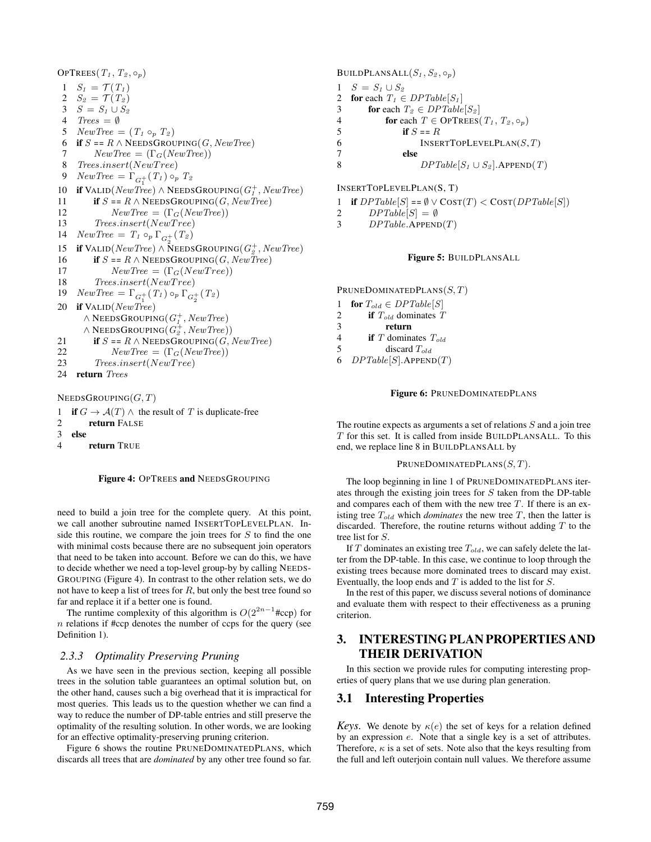OPTREES $(T_1, T_2, \circ_p)$ 1  $S_1 = \mathcal{T}(T_1)$ 2  $S_2 = \mathcal{T}(T_2)$ 3  $S = S_1 \cup S_2$ 4  $Trees = \emptyset$ 5  $NewTree = (T_1 \circ_p T_2)$ 6 if  $S = R \wedge$  NEEDSGROUPING(G, New Tree) 7  $NewTree = (\Gamma_G(NewTree))$ 8 Trees.insert(NewTree) 9  $NewTree = \Gamma_{G_1^+}(T_1) \circ_p T_2$ 10 if VALID( $NewTree$ ) ∧ NEEDSGROUPING( $G<sub>I</sub><sup>+</sup>$ ,  $NewTree$ ) 11 if  $S = R \wedge$  NEEDSGROUPING(G, New Tree) 12  $NewTree = (\Gamma_G(NewTree))$ 13 Trees.insert(NewT ree) 14  $NewTree = T_1 \circ_p \Gamma_{G_2^+}(T_2)$ 15 if VALID( $NewTree$ ) ∧ NEEDSGROUPING( $G_2^+$ ,  $NewTree$ ) 16 if  $S = R \wedge$  NEEDSGROUPING(G, New Tree) 17  $NewTree = (\Gamma_G(NewTree))$ 18 Trees.insert(NewTree) 19  $NewTree = \Gamma_{G_1^+}(T_1) \circ_p \Gamma_{G_2^+}(T_2)$ 20 if VALID(NewTree)  $\wedge$  NeedsGrouping(  $G^+_1$  , NewTree)  $\land$  NeedsGrouping $(G_2^+,NewTree)$ ) 21 if  $S = R \wedge$  NEEDSGROUPING(G, New Tree) 22  $NewTree = (\Gamma_G(NewTree))$ 23 Trees.insert(NewTree) 24 return Trees  $NEEDSGROUPING(G, T)$ 1 if  $G \to \mathcal{A}(T) \wedge$  the result of T is duplicate-free 2 return FALSE

3 else

4 return TRUE



need to build a join tree for the complete query. At this point, we call another subroutine named INSERTTOPLEVELPLAN. Inside this routine, we compare the join trees for  $S$  to find the one with minimal costs because there are no subsequent join operators that need to be taken into account. Before we can do this, we have to decide whether we need a top-level group-by by calling NEEDS-GROUPING (Figure 4). In contrast to the other relation sets, we do not have to keep a list of trees for  $R$ , but only the best tree found so far and replace it if a better one is found.

The runtime complexity of this algorithm is  $O(2^{2n-1}\text{#ccp})$  for  $n$  relations if #ccp denotes the number of ccps for the query (see Definition 1).

#### *2.3.3 Optimality Preserving Pruning*

As we have seen in the previous section, keeping all possible trees in the solution table guarantees an optimal solution but, on the other hand, causes such a big overhead that it is impractical for most queries. This leads us to the question whether we can find a way to reduce the number of DP-table entries and still preserve the optimality of the resulting solution. In other words, we are looking for an effective optimality-preserving pruning criterion.

Figure 6 shows the routine PRUNEDOMINATEDPLANS, which discards all trees that are *dominated* by any other tree found so far.

BUILDPLANSALL $(S_1, S_2, \circ_p)$ 1  $S = S_1 \cup S_2$ <br>2 **for** each  $T_1 \in$ for each  $T_1 \in DPTable[S_1]$ 3 **for** each  $T_2 \in DPTable[S_2]$ 4 **for each**  $T \in \text{OPTREES}(T_1, T_2, \circ_p)$ 5 if  $S = R$ 6 INSERTTOPLEVELPLAN $(S,T)$ 7 else 8  $DPTable[S_1 \cup S_2]$ . APPEND(T)

INSERTTOPLEVELPLAN(S, T)

- 1 if  $DPTable[S] == \emptyset \vee \text{COST}(T) < \text{COST}(DPTable[S])$
- 2  $DPTable[S] = \emptyset$
- 3  $DPTable.\text{APPEND}(T)$

#### Figure 5: BUILDPLANSALL

PRUNEDOMINATEDPLANS $(S, T)$ 

- 1 for  $T_{old} \in DPTable[S]$ 2 if  $T_{old}$  dominates  $T$ 3 return 4 if  $T$  dominates  $T_{old}$ 5 discard  $T_{old}$
- 6  $DPTable[S].APPEND(T)$

Figure 6: PRUNEDOMINATEDPLANS

The routine expects as arguments a set of relations  $S$  and a join tree T for this set. It is called from inside BUILDPLANSALL. To this end, we replace line 8 in BUILDPLANSALL by

#### PRUNEDOMINATEDPLANS $(S, T)$ .

The loop beginning in line 1 of PRUNEDOMINATEDPLANS iterates through the existing join trees for S taken from the DP-table and compares each of them with the new tree  $T$ . If there is an existing tree  $T_{old}$  which *dominates* the new tree  $T$ , then the latter is discarded. Therefore, the routine returns without adding  $T$  to the tree list for S.

If  $T$  dominates an existing tree  $T_{old}$ , we can safely delete the latter from the DP-table. In this case, we continue to loop through the existing trees because more dominated trees to discard may exist. Eventually, the loop ends and  $T$  is added to the list for  $S$ .

In the rest of this paper, we discuss several notions of dominance and evaluate them with respect to their effectiveness as a pruning criterion.

# 3. INTERESTING PLAN PROPERTIES AND THEIR DERIVATION

In this section we provide rules for computing interesting properties of query plans that we use during plan generation.

### 3.1 Interesting Properties

*Keys.* We denote by  $\kappa(e)$  the set of keys for a relation defined by an expression e. Note that a single key is a set of attributes. Therefore,  $\kappa$  is a set of sets. Note also that the keys resulting from the full and left outerjoin contain null values. We therefore assume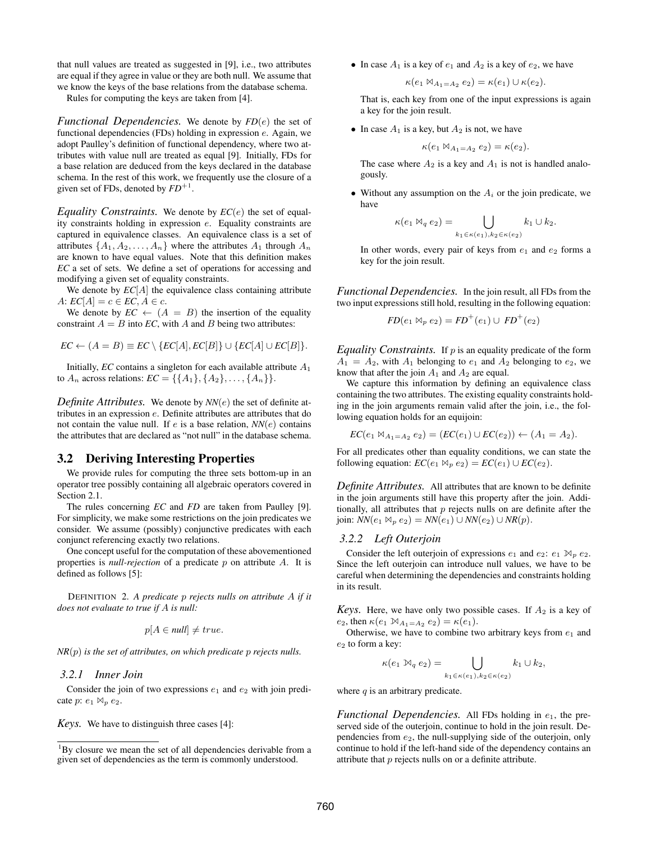that null values are treated as suggested in [9], i.e., two attributes are equal if they agree in value or they are both null. We assume that we know the keys of the base relations from the database schema.

Rules for computing the keys are taken from [4].

*Functional Dependencies.* We denote by *FD*(e) the set of functional dependencies (FDs) holding in expression e. Again, we adopt Paulley's definition of functional dependency, where two attributes with value null are treated as equal [9]. Initially, FDs for a base relation are deduced from the keys declared in the database schema. In the rest of this work, we frequently use the closure of a given set of FDs, denoted by  $FD^{+1}$ .

*Equality Constraints.* We denote by  $EC(e)$  the set of equality constraints holding in expression e. Equality constraints are captured in equivalence classes. An equivalence class is a set of attributes  $\{A_1, A_2, \ldots, A_n\}$  where the attributes  $A_1$  through  $A_n$ are known to have equal values. Note that this definition makes *EC* a set of sets. We define a set of operations for accessing and modifying a given set of equality constraints.

We denote by  $EC[A]$  the equivalence class containing attribute  $A: EC[A] = c \in EC, A \in c.$ 

We denote by  $EC \leftarrow (A = B)$  the insertion of the equality constraint  $A = B$  into *EC*, with A and B being two attributes:

$$
EC \leftarrow (A = B) \equiv EC \setminus \{EC[A], EC[B]\} \cup \{EC[A] \cup EC[B]\}.
$$

Initially, *EC* contains a singleton for each available attribute  $A_1$ to  $A_n$  across relations:  $EC = \{\{A_1\}, \{A_2\}, \dots, \{A_n\}\}.$ 

*Definite Attributes.* We denote by *NN*(e) the set of definite attributes in an expression e. Definite attributes are attributes that do not contain the value null. If  $e$  is a base relation,  $NN(e)$  contains the attributes that are declared as "not null" in the database schema.

## 3.2 Deriving Interesting Properties

We provide rules for computing the three sets bottom-up in an operator tree possibly containing all algebraic operators covered in Section 2.1.

The rules concerning *EC* and *FD* are taken from Paulley [9]. For simplicity, we make some restrictions on the join predicates we consider. We assume (possibly) conjunctive predicates with each conjunct referencing exactly two relations.

One concept useful for the computation of these abovementioned properties is *null-rejection* of a predicate p on attribute A. It is defined as follows [5]:

DEFINITION 2. *A predicate* p *rejects nulls on attribute* A *if it does not evaluate to true if* A *is null:*

$$
p[A \in null] \neq true.
$$

*NR*(p) *is the set of attributes, on which predicate* p *rejects nulls.*

#### *3.2.1 Inner Join*

Consider the join of two expressions  $e_1$  and  $e_2$  with join predicate p:  $e_1 \bowtie_p e_2$ .

*Keys.* We have to distinguish three cases [4]:

• In case  $A_1$  is a key of  $e_1$  and  $A_2$  is a key of  $e_2$ , we have

$$
\kappa(e_1 \boxtimes_{A_1 = A_2} e_2) = \kappa(e_1) \cup \kappa(e_2).
$$

That is, each key from one of the input expressions is again a key for the join result.

• In case  $A_1$  is a key, but  $A_2$  is not, we have

$$
\kappa(e_1\boxtimes_{A_1=A_2}e_2)=\kappa(e_2).
$$

The case where  $A_2$  is a key and  $A_1$  is not is handled analogously.

• Without any assumption on the  $A_i$  or the join predicate, we have

$$
\kappa(e_1 \boxtimes_q e_2) = \bigcup_{k_1 \in \kappa(e_1), k_2 \in \kappa(e_2)} k_1 \cup k_2.
$$

In other words, every pair of keys from  $e_1$  and  $e_2$  forms a key for the join result.

*Functional Dependencies.* In the join result, all FDs from the two input expressions still hold, resulting in the following equation:

$$
FD(e_1 \bowtie_p e_2) = FD^+(e_1) \cup FD^+(e_2)
$$

*Equality Constraints.* If  $p$  is an equality predicate of the form  $A_1 = A_2$ , with  $A_1$  belonging to  $e_1$  and  $A_2$  belonging to  $e_2$ , we know that after the join  $A_1$  and  $A_2$  are equal.

We capture this information by defining an equivalence class containing the two attributes. The existing equality constraints holding in the join arguments remain valid after the join, i.e., the following equation holds for an equijoin:

$$
EC(e_1 \bowtie_{A_1 = A_2} e_2) = (EC(e_1) \cup EC(e_2)) \leftarrow (A_1 = A_2).
$$

For all predicates other than equality conditions, we can state the following equation:  $EC(e_1 \bowtie_p e_2) = EC(e_1) \cup EC(e_2)$ .

*Definite Attributes.* All attributes that are known to be definite in the join arguments still have this property after the join. Additionally, all attributes that  $p$  rejects nulls on are definite after the join:  $NN(e_1 \Join_p e_2) = NN(e_1) \cup NN(e_2) \cup NR(p)$ .

### *3.2.2 Left Outerjoin*

Consider the left outerjoin of expressions  $e_1$  and  $e_2$ :  $e_1 \bowtie_p e_2$ . Since the left outerjoin can introduce null values, we have to be careful when determining the dependencies and constraints holding in its result.

*Keys.* Here, we have only two possible cases. If  $A_2$  is a key of e<sub>2</sub>, then  $\kappa(e_1 \boxtimes_{A_1 = A_2} e_2) = \kappa(e_1)$ .

Otherwise, we have to combine two arbitrary keys from  $e_1$  and  $e_2$  to form a key:

$$
\kappa(e_1 \boxtimes_q e_2) = \bigcup_{k_1 \in \kappa(e_1), k_2 \in \kappa(e_2)} k_1 \cup k_2,
$$

where  $q$  is an arbitrary predicate.

*Functional Dependencies.* All FDs holding in  $e_1$ , the preserved side of the outerjoin, continue to hold in the join result. Dependencies from  $e_2$ , the null-supplying side of the outerjoin, only continue to hold if the left-hand side of the dependency contains an attribute that  $p$  rejects nulls on or a definite attribute.

<sup>&</sup>lt;sup>1</sup>By closure we mean the set of all dependencies derivable from a given set of dependencies as the term is commonly understood.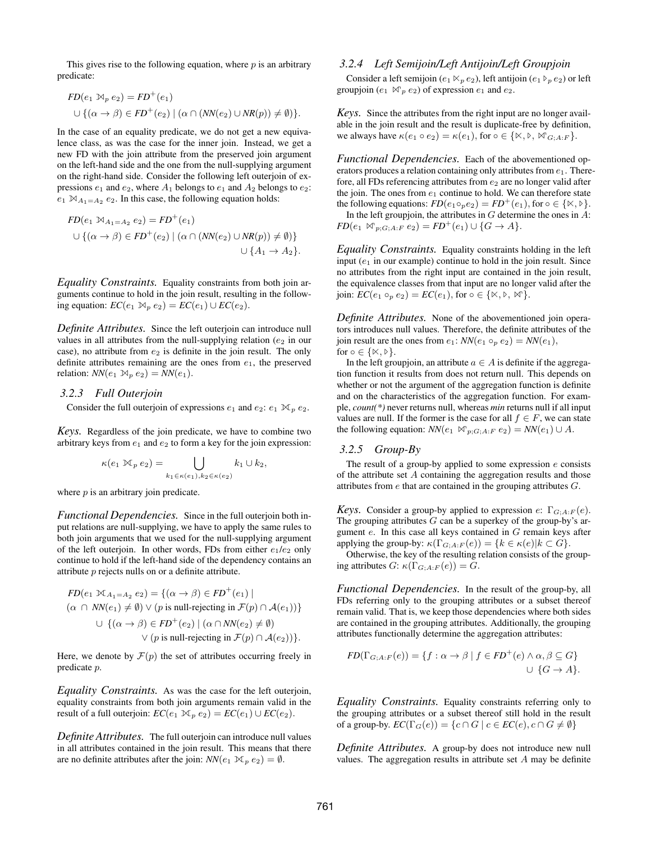This gives rise to the following equation, where  $p$  is an arbitrary predicate:

$$
FD(e_1 \bowtie_p e_2) = FD^+(e_1)
$$
  

$$
\cup \{ (\alpha \to \beta) \in FD^+(e_2) \mid (\alpha \cap (NN(e_2) \cup NR(p))) \neq \emptyset) \}.
$$

In the case of an equality predicate, we do not get a new equivalence class, as was the case for the inner join. Instead, we get a new FD with the join attribute from the preserved join argument on the left-hand side and the one from the null-supplying argument on the right-hand side. Consider the following left outerjoin of expressions  $e_1$  and  $e_2$ , where  $A_1$  belongs to  $e_1$  and  $A_2$  belongs to  $e_2$ :  $e_1 \boxtimes_{A_1 = A_2} e_2$ . In this case, the following equation holds:

$$
FD(e_1 \bowtie_{A_1=A_2} e_2) = FD^+(e_1)
$$
  

$$
\cup \{ (\alpha \rightarrow \beta) \in FD^+(e_2) \mid (\alpha \cap (NN(e_2) \cup NR(p)) \neq \emptyset) \}
$$
  

$$
\cup \{ A_1 \rightarrow A_2 \}.
$$

*Equality Constraints.* Equality constraints from both join arguments continue to hold in the join result, resulting in the following equation:  $EC(e_1 \bowtie_p e_2) = EC(e_1) \cup EC(e_2)$ .

*Definite Attributes.* Since the left outerjoin can introduce null values in all attributes from the null-supplying relation  $(e_2$  in our case), no attribute from  $e_2$  is definite in the join result. The only definite attributes remaining are the ones from  $e_1$ , the preserved relation:  $NN(e_1 \bowtie_p e_2) = NN(e_1)$ .

## *3.2.3 Full Outerjoin*

Consider the full outerjoin of expressions  $e_1$  and  $e_2$ :  $e_1 \bowtie_p e_2$ .

*Keys.* Regardless of the join predicate, we have to combine two arbitrary keys from  $e_1$  and  $e_2$  to form a key for the join expression:

$$
\kappa(e_1 \boxtimes_P e_2) = \bigcup_{k_1 \in \kappa(e_1), k_2 \in \kappa(e_2)} k_1 \cup k_2,
$$

where  $p$  is an arbitrary join predicate.

*Functional Dependencies.* Since in the full outerjoin both input relations are null-supplying, we have to apply the same rules to both join arguments that we used for the null-supplying argument of the left outerjoin. In other words, FDs from either  $e_1/e_2$  only continue to hold if the left-hand side of the dependency contains an attribute p rejects nulls on or a definite attribute.

$$
FD(e_1 \bowtie_{A_1=A_2} e_2) = \{ (\alpha \to \beta) \in FD^+(e_1) \mid
$$
  
\n
$$
(\alpha \cap NN(e_1) \neq \emptyset) \lor (p \text{ is null-rejecting in } \mathcal{F}(p) \cap \mathcal{A}(e_1)) \}
$$
  
\n
$$
\cup \{ (\alpha \to \beta) \in FD^+(e_2) \mid (\alpha \cap NN(e_2) \neq \emptyset)
$$
  
\n
$$
\lor (p \text{ is null-rejecting in } \mathcal{F}(p) \cap \mathcal{A}(e_2)) \}.
$$

Here, we denote by  $\mathcal{F}(p)$  the set of attributes occurring freely in predicate p.

*Equality Constraints.* As was the case for the left outerjoin, equality constraints from both join arguments remain valid in the result of a full outerjoin:  $EC(e_1 \boxtimes_p e_2) = EC(e_1) \cup EC(e_2)$ .

*Definite Attributes.* The full outerjoin can introduce null values in all attributes contained in the join result. This means that there are no definite attributes after the join:  $NN(e_1 \bowtie_p e_2) = \emptyset$ .

## *3.2.4 Left Semijoin/Left Antijoin/Left Groupjoin*

Consider a left semijoin ( $e_1 \ltimes_p e_2$ ), left antijoin ( $e_1 \ltimes_p e_2$ ) or left groupjoin  $(e_1 \bowtie_p e_2)$  of expression  $e_1$  and  $e_2$ .

*Keys.* Since the attributes from the right input are no longer available in the join result and the result is duplicate-free by definition, we always have  $\kappa(e_1 \circ e_2) = \kappa(e_1)$ , for  $\circ \in \{ \mathbb{X}, \mathbb{Y}, \mathbb{W}_{G;A:F} \}.$ 

*Functional Dependencies.* Each of the abovementioned operators produces a relation containing only attributes from  $e_1$ . Therefore, all FDs referencing attributes from  $e_2$  are no longer valid after the join. The ones from  $e_1$  continue to hold. We can therefore state the following equations:  $FD(e_1 \circ_p e_2) = FD^+(e_1)$ , for  $\circ \in \{\times, \mathcal{F}\}.$ In the left groupjoin, the attributes in  $G$  determine the ones in  $A$ :  $FD(e_1 \bowtie_{p;G;A:F} e_2) = FD^+(e_1) \cup \{G \rightarrow A\}.$ 

*Equality Constraints.* Equality constraints holding in the left input  $(e_1$  in our example) continue to hold in the join result. Since no attributes from the right input are contained in the join result, the equivalence classes from that input are no longer valid after the

join:  $EC(e_1 \circ_p e_2) = EC(e_1)$ , for  $\circ \in \{\times, \triangleright, \infty\}$ .

*Definite Attributes.* None of the abovementioned join operators introduces null values. Therefore, the definite attributes of the join result are the ones from  $e_1$ : *NN*( $e_1 \circ_p e_2$ ) = *NN*( $e_1$ ), for  $\circ \in \{\times, \triangleright\}.$ 

In the left groupjoin, an attribute  $a \in A$  is definite if the aggregation function it results from does not return null. This depends on whether or not the argument of the aggregation function is definite and on the characteristics of the aggregation function. For example, *count(\*)* never returns null, whereas *min* returns null if all input values are null. If the former is the case for all  $f \in F$ , we can state the following equation:  $NN(e_1 \bowtie_{p;G;A:F} e_2) = NN(e_1) \cup A$ .

#### *3.2.5 Group-By*

The result of a group-by applied to some expression  $e$  consists of the attribute set A containing the aggregation results and those attributes from e that are contained in the grouping attributes G.

*Keys.* Consider a group-by applied to expression  $e: \Gamma_{G:A:F}(e)$ . The grouping attributes  $G$  can be a superkey of the group-by's argument e. In this case all keys contained in G remain keys after applying the group-by:  $\kappa(\Gamma_{G;A:F}(e)) = \{k \in \kappa(e) | k \subset G\}.$ 

Otherwise, the key of the resulting relation consists of the grouping attributes  $G: \kappa(\Gamma_{G;A:F}(e)) = G.$ 

*Functional Dependencies.* In the result of the group-by, all FDs referring only to the grouping attributes or a subset thereof remain valid. That is, we keep those dependencies where both sides are contained in the grouping attributes. Additionally, the grouping attributes functionally determine the aggregation attributes:

$$
FD(\Gamma_{G;A:F}(e)) = \{ f : \alpha \to \beta \mid f \in FD^+(e) \land \alpha, \beta \subseteq G \}
$$
  

$$
\cup \{ G \to A \}.
$$

*Equality Constraints.* Equality constraints referring only to the grouping attributes or a subset thereof still hold in the result of a group-by.  $EC(\Gamma_G(e)) = \{c \cap G \mid c \in EC(e), c \cap G \neq \emptyset\}$ 

*Definite Attributes.* A group-by does not introduce new null values. The aggregation results in attribute set  $A$  may be definite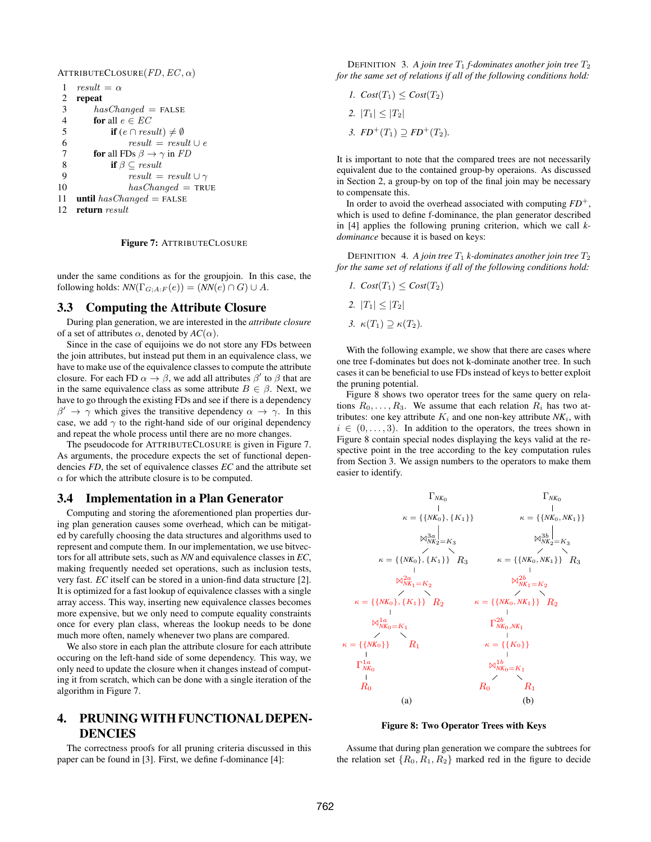ATTRIBUTECLOSURE $(FD, EC, \alpha)$ 

```
1 result = \alpha2 repeat
 3 hasChanged = FALSE4 for all e \in EC5 if (e \cap result) \neq \emptyset6 result = result \cup e7 for all FDs \beta \rightarrow \gamma in FD
 8 if \beta \subset \text{result}9 result = result \cup \gamma10 hasChanged = TRUE11 until has Changed = FALSE
12 return result
```
Figure 7: ATTRIBUTECLOSURE

under the same conditions as for the groupjoin. In this case, the following holds:  $NN(\Gamma_{G;A:F}(e)) = (NN(e) \cap G) \cup A$ .

## 3.3 Computing the Attribute Closure

During plan generation, we are interested in the *attribute closure* of a set of attributes  $\alpha$ , denoted by  $AC(\alpha)$ .

Since in the case of equijoins we do not store any FDs between the join attributes, but instead put them in an equivalence class, we have to make use of the equivalence classes to compute the attribute closure. For each FD  $\alpha \to \beta$ , we add all attributes  $\beta'$  to  $\beta$  that are in the same equivalence class as some attribute  $B \in \beta$ . Next, we have to go through the existing FDs and see if there is a dependency  $\beta' \to \gamma$  which gives the transitive dependency  $\alpha \to \gamma$ . In this case, we add  $\gamma$  to the right-hand side of our original dependency and repeat the whole process until there are no more changes.

The pseudocode for ATTRIBUTECLOSURE is given in Figure 7. As arguments, the procedure expects the set of functional dependencies *FD*, the set of equivalence classes *EC* and the attribute set  $\alpha$  for which the attribute closure is to be computed.

#### 3.4 Implementation in a Plan Generator

Computing and storing the aforementioned plan properties during plan generation causes some overhead, which can be mitigated by carefully choosing the data structures and algorithms used to represent and compute them. In our implementation, we use bitvectors for all attribute sets, such as *NN* and equivalence classes in *EC*, making frequently needed set operations, such as inclusion tests, very fast. *EC* itself can be stored in a union-find data structure [2]. It is optimized for a fast lookup of equivalence classes with a single array access. This way, inserting new equivalence classes becomes more expensive, but we only need to compute equality constraints once for every plan class, whereas the lookup needs to be done much more often, namely whenever two plans are compared.

We also store in each plan the attribute closure for each attribute occuring on the left-hand side of some dependency. This way, we only need to update the closure when it changes instead of computing it from scratch, which can be done with a single iteration of the algorithm in Figure 7.

# 4. PRUNING WITH FUNCTIONAL DEPEN-DENCIES

The correctness proofs for all pruning criteria discussed in this paper can be found in [3]. First, we define f-dominance [4]:

DEFINITION 3. A join tree  $T_1$  *f*-dominates another join tree  $T_2$ *for the same set of relations if all of the following conditions hold:*

- *1.*  $Cost(T_1) \le Cost(T_2)$
- 2.  $|T_1| \leq |T_2|$
- *3.*  $FD^{+}(T_1) \supset FD^{+}(T_2)$ .

It is important to note that the compared trees are not necessarily equivalent due to the contained group-by operaions. As discussed in Section 2, a group-by on top of the final join may be necessary to compensate this.

In order to avoid the overhead associated with computing  $FD^+$ , which is used to define f-dominance, the plan generator described in [4] applies the following pruning criterion, which we call *kdominance* because it is based on keys:

DEFINITION 4. *A join tree*  $T_1$  *k*-dominates another join tree  $T_2$ *for the same set of relations if all of the following conditions hold:*

- *1.*  $Cost(T_1) \le Cost(T_2)$ 2.  $|T_1| \leq |T_2|$
- *3.*  $κ(T_1) \supseteq κ(T_2)$ .

With the following example, we show that there are cases where one tree f-dominates but does not k-dominate another tree. In such cases it can be beneficial to use FDs instead of keys to better exploit the pruning potential.

Figure 8 shows two operator trees for the same query on relations  $R_0, \ldots, R_3$ . We assume that each relation  $R_i$  has two attributes: one key attribute  $K_i$  and one non-key attribute  $NK_i$ , with  $i \in (0, \ldots, 3)$ . In addition to the operators, the trees shown in Figure 8 contain special nodes displaying the keys valid at the respective point in the tree according to the key computation rules from Section 3. We assign numbers to the operators to make them easier to identify.



Figure 8: Two Operator Trees with Keys

Assume that during plan generation we compare the subtrees for the relation set  $\{R_0, R_1, R_2\}$  marked red in the figure to decide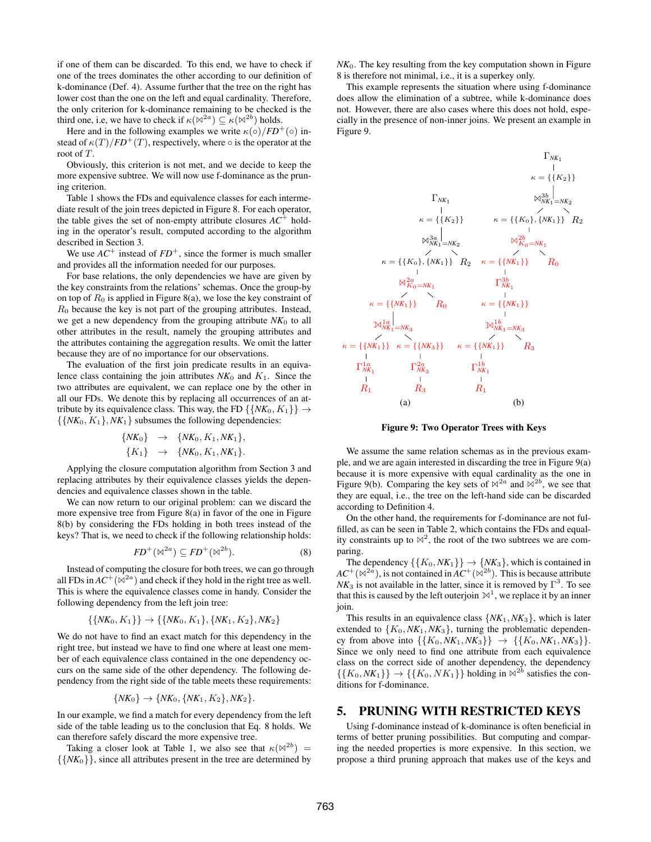if one of them can be discarded. To this end, we have to check if one of the trees dominates the other according to our definition of k-dominance (Def. 4). Assume further that the tree on the right has lower cost than the one on the left and equal cardinality. Therefore, the only criterion for k-dominance remaining to be checked is the third one, i.e, we have to check if  $\kappa(\mathbb{N}^{2a}) \subseteq \kappa(\mathbb{N}^{2b})$  holds.

Here and in the following examples we write  $\kappa(\circ)/FD^{+}(\circ)$  instead of  $\kappa(T)/FD^{+}(T)$ , respectively, where  $\circ$  is the operator at the root of T.

Obviously, this criterion is not met, and we decide to keep the more expensive subtree. We will now use f-dominance as the pruning criterion.

Table 1 shows the FDs and equivalence classes for each intermediate result of the join trees depicted in Figure 8. For each operator, the table gives the set of non-empty attribute closures  $AC^+$  holding in the operator's result, computed according to the algorithm described in Section 3.

We use  $AC^+$  instead of  $FD^+$ , since the former is much smaller and provides all the information needed for our purposes.

For base relations, the only dependencies we have are given by the key constraints from the relations' schemas. Once the group-by on top of  $R_0$  is applied in Figure 8(a), we lose the key constraint of  $R_0$  because the key is not part of the grouping attributes. Instead, we get a new dependency from the grouping attribute *NK*<sup>0</sup> to all other attributes in the result, namely the grouping attributes and the attributes containing the aggregation results. We omit the latter because they are of no importance for our observations.

The evaluation of the first join predicate results in an equivalence class containing the join attributes  $NK_0$  and  $K_1$ . Since the two attributes are equivalent, we can replace one by the other in all our FDs. We denote this by replacing all occurrences of an attribute by its equivalence class. This way, the FD  $\{\{NK_0, K_1\}\}\rightarrow$  $\{\{NK_0, K_1\}, NK_1\}$  subsumes the following dependencies:

$$
{\begin{array}{ccc} {N K_0} & \to & {N K_0, K_1, N K_1}, \\ {K_1} & \to & {N K_0, K_1, N K_1}. \end{array}}
$$

Applying the closure computation algorithm from Section 3 and replacing attributes by their equivalence classes yields the dependencies and equivalence classes shown in the table.

We can now return to our original problem: can we discard the more expensive tree from Figure 8(a) in favor of the one in Figure 8(b) by considering the FDs holding in both trees instead of the keys? That is, we need to check if the following relationship holds:

$$
FD^{+}(\mathbb{N}^{2a}) \subseteq FD^{+}(\mathbb{N}^{2b}).\tag{8}
$$

Instead of computing the closure for both trees, we can go through all FDs in  $AC^+(\overline{\mathbb{R}}^{2a})$  and check if they hold in the right tree as well. This is where the equivalence classes come in handy. Consider the following dependency from the left join tree:

$$
\{\{NK_0, K_1\}\} \rightarrow \{\{NK_0, K_1\}, \{NK_1, K_2\}, NK_2\}
$$

We do not have to find an exact match for this dependency in the right tree, but instead we have to find one where at least one member of each equivalence class contained in the one dependency occurs on the same side of the other dependency. The following dependency from the right side of the table meets these requirements:

$$
\{NK_0\} \to \{NK_0, \{NK_1, K_2\}, NK_2\}.
$$

In our example, we find a match for every dependency from the left side of the table leading us to the conclusion that Eq. 8 holds. We can therefore safely discard the more expensive tree.

Taking a closer look at Table 1, we also see that  $\kappa(\mathbb{N}^{2b}) =$  $\{N(K_0)\}\$ , since all attributes present in the tree are determined by  $NK<sub>0</sub>$ . The key resulting from the key computation shown in Figure 8 is therefore not minimal, i.e., it is a superkey only.

This example represents the situation where using f-dominance does allow the elimination of a subtree, while k-dominance does not. However, there are also cases where this does not hold, especially in the presence of non-inner joins. We present an example in Figure 9.



Figure 9: Two Operator Trees with Keys

We assume the same relation schemas as in the previous example, and we are again interested in discarding the tree in Figure 9(a) because it is more expensive with equal cardinality as the one in Figure 9(b). Comparing the key sets of  $\bowtie^{2a}$  and  $\bowtie^{2b}$ , we see that they are equal, i.e., the tree on the left-hand side can be discarded according to Definition 4.

On the other hand, the requirements for f-dominance are not fulfilled, as can be seen in Table 2, which contains the FDs and equality constraints up to  $\mathbb{N}^2$ , the root of the two subtrees we are comparing.

The dependency  $\{\{K_0, NK_1\}\}\rightarrow \{NK_3\}$ , which is contained in  $AC^+(\mathbb{N}^{2a})$ , is not contained in  $AC^+(\mathbb{N}^{2b})$ . This is because attribute  $NK_3$  is not available in the latter, since it is removed by  $\Gamma^3$ . To see that this is caused by the left outerjoin  $\mathbb{N}^1$ , we replace it by an inner join.

This results in an equivalence class  $\{NK_1, NK_3\}$ , which is later extended to  ${K_0, NK_1, NK_3}$ , turning the problematic dependency from above into  $\{\{K_0, NK_1, NK_3\}\}$   $\rightarrow$   $\{\{K_0, NK_1, NK_3\}\}.$ Since we only need to find one attribute from each equivalence class on the correct side of another dependency, the dependency  $\{\{K_0, NK_1\}\}\rightarrow \{\{K_0, NK_1\}\}\$  holding in  $\mathbb{A}^{2b}$  satisfies the conditions for f-dominance.

## 5. PRUNING WITH RESTRICTED KEYS

Using f-dominance instead of k-dominance is often beneficial in terms of better pruning possibilities. But computing and comparing the needed properties is more expensive. In this section, we propose a third pruning approach that makes use of the keys and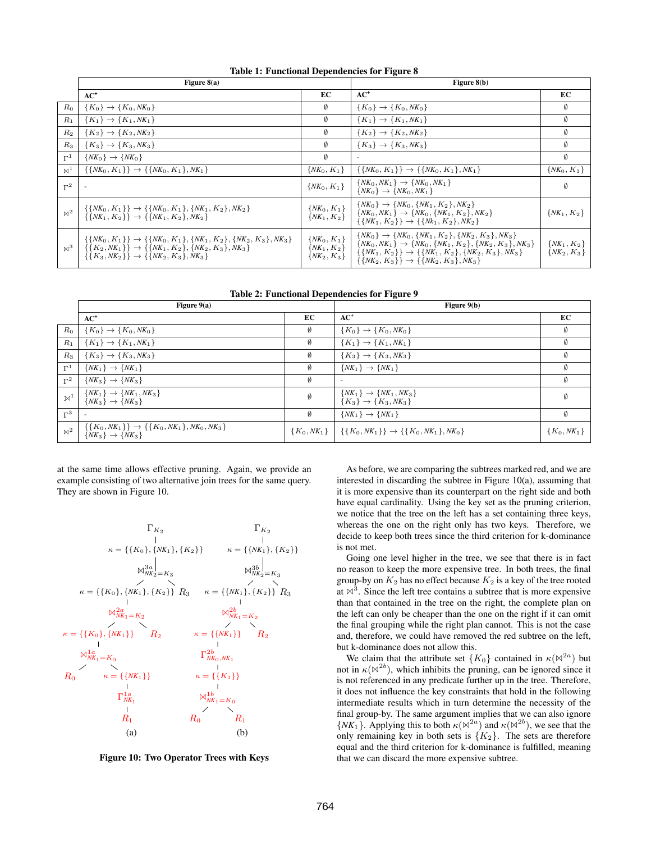|                | Table 1: 1 anchonal Dependencies for 1 igure 0                                                                                                                                                                          |                                                       |                                                                                                                                                                                                                                                                                     |                                    |  |  |  |  |  |
|----------------|-------------------------------------------------------------------------------------------------------------------------------------------------------------------------------------------------------------------------|-------------------------------------------------------|-------------------------------------------------------------------------------------------------------------------------------------------------------------------------------------------------------------------------------------------------------------------------------------|------------------------------------|--|--|--|--|--|
|                | Figure $8(a)$                                                                                                                                                                                                           | Figure $8(b)$                                         |                                                                                                                                                                                                                                                                                     |                                    |  |  |  |  |  |
|                | $AC^+$                                                                                                                                                                                                                  | EC                                                    | $AC^+$                                                                                                                                                                                                                                                                              | EC                                 |  |  |  |  |  |
| $R_0$          | $\{K_0\} \to \{K_0, NK_0\}$                                                                                                                                                                                             | Ø                                                     | $\{K_0\} \to \{K_0, NK_0\}$                                                                                                                                                                                                                                                         | Ø                                  |  |  |  |  |  |
| $R_1$          | $\{K_1\} \to \{K_1, NK_1\}$                                                                                                                                                                                             | Ø                                                     | $\{K_1\} \to \{K_1, NK_1\}$                                                                                                                                                                                                                                                         | Ø                                  |  |  |  |  |  |
| $R_2$          | ${K_2} \rightarrow {K_2, NK_2}$                                                                                                                                                                                         | Ø                                                     | ${K_2} \rightarrow {K_2, NK_2}$                                                                                                                                                                                                                                                     | Ø                                  |  |  |  |  |  |
| $R_3$          | ${K_3} \rightarrow {K_3, NK_3}$                                                                                                                                                                                         | Ø                                                     | ${K_3} \rightarrow {K_3, NK_3}$                                                                                                                                                                                                                                                     | Ø                                  |  |  |  |  |  |
| $\Gamma^1$     | $\{NK_0\} \rightarrow \{NK_0\}$                                                                                                                                                                                         | Ø                                                     |                                                                                                                                                                                                                                                                                     | Ø                                  |  |  |  |  |  |
| $\boxtimes^1$  | $\{\{NK_0, K_1\}\}\rightarrow \{\{NK_0, K_1\}, NK_1\}$                                                                                                                                                                  | $\{NK_0, K_1\}$                                       | $\{\{NK_0, K_1\}\}\rightarrow \{\{NK_0, K_1\}, NK_1\}$                                                                                                                                                                                                                              | $\{NK_0, K_1\}$                    |  |  |  |  |  |
| $\Gamma^2$     |                                                                                                                                                                                                                         | $\{NK_0, K_1\}$                                       | $\{NK_0, NK_1\} \rightarrow \{NK_0, NK_1\}$<br>$\{NK_0\} \rightarrow \{NK_0, NK_1\}$                                                                                                                                                                                                | Ø                                  |  |  |  |  |  |
| $\mathbb{N}^2$ | $\{\{NK_0, K_1\}\}\rightarrow \{\{NK_0, K_1\}, \{NK_1, K_2\}, NK_2\}$<br>$\{\{NK_1, K_2\}\}\rightarrow \{\{NK_1, K_2\}, NK_2\}$                                                                                         | $\{NK_0, K_1\}$<br>$\{NK_1, K_2\}$                    | $\{NK_0\} \rightarrow \{NK_0, \{NK_1, K_2\}, NK_2\}$<br>$\{NK_0, NK_1\} \rightarrow \{NK_0, \{NK_1, K_2\}, NK_2\}$<br>$\{\{NK_1, K_2\}\}\rightarrow \{\{Nk_1, K_2\}, NK_2\}$                                                                                                        | $\{NK_1, K_2\}$                    |  |  |  |  |  |
| $\mathbb{M}^3$ | $\{\{NK_0, K_1\}\}\rightarrow \{\{NK_0, K_1\}, \{NK_1, K_2\}, \{NK_2, K_3\}, NK_3\}$<br>$\{\{K_2, NK_1\}\}\rightarrow \{\{NK_1, K_2\}, \{NK_2, K_3\}, NK_3\}$<br>$\{\{K_3, NK_2\}\}\rightarrow \{\{NK_2, K_3\}, NK_3\}$ | $\{NK_0, K_1\}$<br>$\{NK_1, K_2\}$<br>$\{NK_2, K_3\}$ | $\{NK_0\} \rightarrow \{NK_0, \{NK_1, K_2\}, \{NK_2, K_3\}, NK_3\}$<br>$\{NK_0, NK_1\} \rightarrow \{NK_0, \{NK_1, K_2\}, \{NK_2, K_3\}, NK_3\}$<br>$\{\{NK_1, K_2\}\}\rightarrow \{\{NK_1, K_2\}, \{NK_2, K_3\}, NK_3\}$<br>$\{\{NK_2, K_3\}\}\rightarrow \{\{NK_2, K_3\}, NK_3\}$ | $\{NK_1, K_2\}$<br>$\{NK_2, K_3\}$ |  |  |  |  |  |

Table 1: Functional Dependencies for Figure 8

|                | Figure $9(a)$                                                                                     |                 | Figure 9(b)                                                          |               |
|----------------|---------------------------------------------------------------------------------------------------|-----------------|----------------------------------------------------------------------|---------------|
|                | $AC^+$                                                                                            | EC              | $AC^+$                                                               | ЕC            |
| $R_0$          | $\{K_0\} \to \{K_0, NK_0\}$                                                                       | Ø               | $\{K_0\} \to \{K_0, NK_0\}$                                          | Ø             |
| $R_1$          | $\{K_1\} \to \{K_1, NK_1\}$                                                                       | Ø               | ${K_1} \rightarrow {K_1, NK_1}$                                      | Ø             |
| $R_3$          | ${K_3} \rightarrow {K_3, NK_3}$                                                                   | Ø               | ${K_3} \rightarrow {K_3, NK_3}$                                      | Ø             |
| $\Gamma^1$     | $\{NK_1\} \rightarrow \{NK_1\}$                                                                   | Ø               | $\{NK_1\} \rightarrow \{NK_1\}$                                      | Ø             |
| $\Gamma^2$     | $\{NK_3\} \rightarrow \{NK_3\}$                                                                   | Ø               | $\overline{a}$                                                       | Ø             |
| $\mathbb{N}^1$ | ${NK_1} \rightarrow {NK_1, NK_3}$<br>${NK_3} \rightarrow {NK_3}$                                  | $\emptyset$     | ${NK_1} \rightarrow {NK_1, NK_3}$<br>${K_3} \rightarrow {K_3, NK_3}$ | Ø             |
| $\Gamma^3$     |                                                                                                   | Ø               | $\{NK_1\} \rightarrow \{NK_1\}$                                      | Ø             |
| $\bowtie^2$    | $\{\{K_0, NK_1\}\}\rightarrow \{\{K_0, NK_1\}, NK_0, NK_3\}$<br>{ $NK_3$ } $\rightarrow \{NK_3\}$ | $\{K_0, NK_1\}$ | $\{\{K_0, NK_1\}\}\rightarrow \{\{K_0, NK_1\}, NK_0\}$               | ${K_0, NK_1}$ |

at the same time allows effective pruning. Again, we provide an example consisting of two alternative join trees for the same query. They are shown in Figure 10.



Figure 10: Two Operator Trees with Keys

As before, we are comparing the subtrees marked red, and we are interested in discarding the subtree in Figure 10(a), assuming that it is more expensive than its counterpart on the right side and both have equal cardinality. Using the key set as the pruning criterion, we notice that the tree on the left has a set containing three keys, whereas the one on the right only has two keys. Therefore, we decide to keep both trees since the third criterion for k-dominance is not met.

Going one level higher in the tree, we see that there is in fact no reason to keep the more expensive tree. In both trees, the final group-by on  $K_2$  has no effect because  $K_2$  is a key of the tree rooted at  $\bowtie$ <sup>3</sup>. Since the left tree contains a subtree that is more expensive than that contained in the tree on the right, the complete plan on the left can only be cheaper than the one on the right if it can omit the final grouping while the right plan cannot. This is not the case and, therefore, we could have removed the red subtree on the left, but k-dominance does not allow this.

We claim that the attribute set  ${K_0}$  contained in  $\kappa(\mathbb{N}^{2a})$  but not in  $\kappa(\mathbb{M}^{2b})$ , which inhibits the pruning, can be ignored since it is not referenced in any predicate further up in the tree. Therefore, it does not influence the key constraints that hold in the following intermediate results which in turn determine the necessity of the final group-by. The same argument implies that we can also ignore  $\{NK_1\}$ . Applying this to both  $\kappa(\mathbb{M}^{2a})$  and  $\kappa(\mathbb{M}^{2b})$ , we see that the only remaining key in both sets is  $\{K_2\}$ . The sets are therefore equal and the third criterion for k-dominance is fulfilled, meaning that we can discard the more expensive subtree.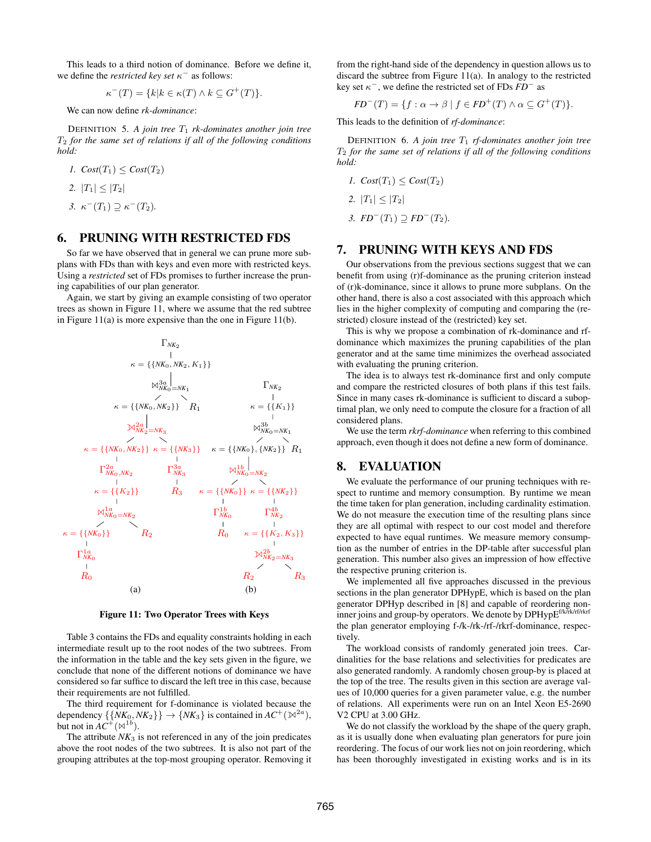This leads to a third notion of dominance. Before we define it, we define the *restricted key set*  $\kappa^-$  as follows:

$$
\kappa^-(T) = \{k | k \in \kappa(T) \land k \subseteq G^+(T)\}.
$$

We can now define *rk-dominance*:

DEFINITION 5. A join tree  $T_1$  *rk-dominates another join tree* T<sup>2</sup> *for the same set of relations if all of the following conditions hold:*

\n- $$
Cost(T_1) \leq Cost(T_2)
$$
\n- $|T_1| \leq |T_2|$
\n- $K^-(T_1) \supseteq K^-(T_2)$
\n

## 6. PRUNING WITH RESTRICTED FDS

So far we have observed that in general we can prune more subplans with FDs than with keys and even more with restricted keys. Using a *restricted* set of FDs promises to further increase the pruning capabilities of our plan generator.

Again, we start by giving an example consisting of two operator trees as shown in Figure 11, where we assume that the red subtree in Figure 11(a) is more expensive than the one in Figure 11(b).



#### Figure 11: Two Operator Trees with Keys

Table 3 contains the FDs and equality constraints holding in each intermediate result up to the root nodes of the two subtrees. From the information in the table and the key sets given in the figure, we conclude that none of the different notions of dominance we have considered so far suffice to discard the left tree in this case, because their requirements are not fulfilled.

The third requirement for f-dominance is violated because the dependency  $\{\{NK_0, NK_2\}\} \rightarrow \{NK_3\}$  is contained in  $AC^+(\mathbb{N}^{2a})$ , but not in  $AC^+(\mathbb{A}^{1b})$ .

The attribute  $NK_3$  is not referenced in any of the join predicates above the root nodes of the two subtrees. It is also not part of the grouping attributes at the top-most grouping operator. Removing it from the right-hand side of the dependency in question allows us to discard the subtree from Figure 11(a). In analogy to the restricted key set  $\kappa^-$ , we define the restricted set of FDs  $\overline{FD}^-$  as

$$
FD^{-}(T) = \{ f : \alpha \to \beta \mid f \in FD^{+}(T) \land \alpha \subseteq G^{+}(T) \}.
$$

This leads to the definition of *rf-dominance*:

DEFINITION 6. A join tree  $T_1$  *rf-dominates another join tree* T<sup>2</sup> *for the same set of relations if all of the following conditions hold:*

*1.*  $Cost(T_1) \le Cost(T_2)$ 

$$
2. |T_1| \leq |T_2|
$$

*3.*  $FD^{-}(T_1)$  ⊃  $FD^{-}(T_2)$ .

## 7. PRUNING WITH KEYS AND FDS

Our observations from the previous sections suggest that we can benefit from using (r)f-dominance as the pruning criterion instead of (r)k-dominance, since it allows to prune more subplans. On the other hand, there is also a cost associated with this approach which lies in the higher complexity of computing and comparing the (restricted) closure instead of the (restricted) key set.

This is why we propose a combination of rk-dominance and rfdominance which maximizes the pruning capabilities of the plan generator and at the same time minimizes the overhead associated with evaluating the pruning criterion.

The idea is to always test rk-dominance first and only compute and compare the restricted closures of both plans if this test fails. Since in many cases rk-dominance is sufficient to discard a suboptimal plan, we only need to compute the closure for a fraction of all considered plans.

We use the term *rkrf-dominance* when referring to this combined approach, even though it does not define a new form of dominance.

## 8. EVALUATION

We evaluate the performance of our pruning techniques with respect to runtime and memory consumption. By runtime we mean the time taken for plan generation, including cardinality estimation. We do not measure the execution time of the resulting plans since they are all optimal with respect to our cost model and therefore expected to have equal runtimes. We measure memory consumption as the number of entries in the DP-table after successful plan generation. This number also gives an impression of how effective the respective pruning criterion is.

We implemented all five approaches discussed in the previous sections in the plan generator DPHypE, which is based on the plan generator DPHyp described in [8] and capable of reordering noninner joins and group-by operators. We denote by DPHypE<sup>f/k/rk/rf/rkrf</sup> the plan generator employing f-/k-/rk-/rf-/rkrf-dominance, respectively.

The workload consists of randomly generated join trees. Cardinalities for the base relations and selectivities for predicates are also generated randomly. A randomly chosen group-by is placed at the top of the tree. The results given in this section are average values of 10,000 queries for a given parameter value, e.g. the number of relations. All experiments were run on an Intel Xeon E5-2690 V2 CPU at 3.00 GHz.

We do not classify the workload by the shape of the query graph, as it is usually done when evaluating plan generators for pure join reordering. The focus of our work lies not on join reordering, which has been thoroughly investigated in existing works and is in its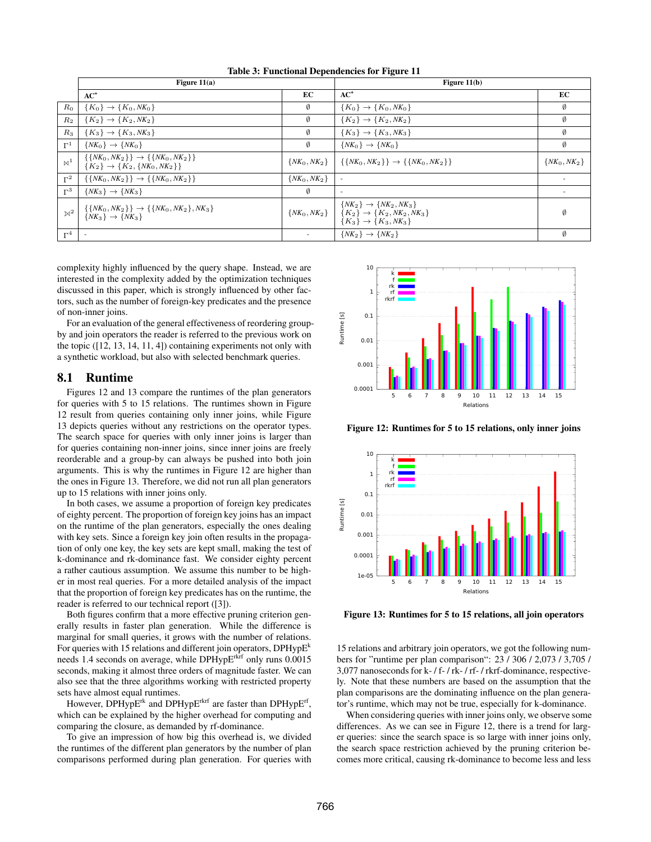|                | Figure $11(a)$                                                                                                  |                  | Figure $11(b)$                                                                                                |                  |
|----------------|-----------------------------------------------------------------------------------------------------------------|------------------|---------------------------------------------------------------------------------------------------------------|------------------|
|                | $AC^+$                                                                                                          | EC               | $AC^+$                                                                                                        | EC               |
| $R_0$          | $\{K_0\} \to \{K_0, NK_0\}$                                                                                     | Ø                | $\{K_0\} \to \{K_0, NK_0\}$                                                                                   | Ø                |
| $R_2$          | ${K_2} \rightarrow {K_2, NK_2}$                                                                                 | Ø                | ${K_2} \rightarrow {K_2, NK_2}$                                                                               | Ø                |
| $R_3$          | ${K_3} \rightarrow {K_3, NK_3}$                                                                                 | Ø                | ${K_3} \rightarrow {K_3, NK_3}$                                                                               | Ø                |
| $\Gamma^1$     | $\{NK_0\} \rightarrow \{NK_0\}$                                                                                 | Ø                | $\{NK_0\} \rightarrow \{NK_0\}$                                                                               | Ø                |
| $\bowtie^1$    | $\{\{NK_0, NK_2\}\}\rightarrow \{\{NK_0, NK_2\}\}\$<br>$\{K_2\} \rightarrow \{K_2, \{NK_0, NK_2\}\}$            | $\{NK_0, NK_2\}$ | $\{\{NK_0, NK_2\}\}\rightarrow \{\{NK_0, NK_2\}\}\$                                                           | $\{NK_0, NK_2\}$ |
| $\Gamma^2$     | $\{\{NK_0, NK_2\}\}\rightarrow \{\{NK_0, NK_2\}\}\$                                                             | $\{NK_0, NK_2\}$ |                                                                                                               |                  |
| $\Gamma^3$     | $\{NK_3\} \rightarrow \{NK_3\}$                                                                                 | Ø                | $\overline{\phantom{a}}$                                                                                      |                  |
| $\mathbb{N}^2$ | $\{ \{ N K_0, N K_2 \} \} \rightarrow \{ \{ N K_0, N K_2 \}, N K_3 \}$<br>$\{ N K_3 \} \rightarrow \{ N K_3 \}$ | $\{NK_0, NK_2\}$ | $\{NK_2\} \rightarrow \{NK_2, NK_3\}$<br>${K_2} \rightarrow {K_2, NK_2, NK_3}$<br>$\{K_3\} \to \{K_3, NK_3\}$ | Ø                |
| $\Gamma^4$     |                                                                                                                 |                  | $\{NK_2\} \rightarrow \{NK_2\}$                                                                               | 0                |

Table 3: Functional Dependencies for Figure 11

complexity highly influenced by the query shape. Instead, we are interested in the complexity added by the optimization techniques discussed in this paper, which is strongly influenced by other factors, such as the number of foreign-key predicates and the presence of non-inner joins.

For an evaluation of the general effectiveness of reordering groupby and join operators the reader is referred to the previous work on the topic ([12, 13, 14, 11, 4]) containing experiments not only with a synthetic workload, but also with selected benchmark queries.

## 8.1 Runtime

Figures 12 and 13 compare the runtimes of the plan generators for queries with 5 to 15 relations. The runtimes shown in Figure 12 result from queries containing only inner joins, while Figure 13 depicts queries without any restrictions on the operator types. The search space for queries with only inner joins is larger than for queries containing non-inner joins, since inner joins are freely reorderable and a group-by can always be pushed into both join arguments. This is why the runtimes in Figure 12 are higher than the ones in Figure 13. Therefore, we did not run all plan generators up to 15 relations with inner joins only.

In both cases, we assume a proportion of foreign key predicates of eighty percent. The proportion of foreign key joins has an impact on the runtime of the plan generators, especially the ones dealing with key sets. Since a foreign key join often results in the propagation of only one key, the key sets are kept small, making the test of k-dominance and rk-dominance fast. We consider eighty percent a rather cautious assumption. We assume this number to be higher in most real queries. For a more detailed analysis of the impact that the proportion of foreign key predicates has on the runtime, the reader is referred to our technical report ([3]).

Both figures confirm that a more effective pruning criterion generally results in faster plan generation. While the difference is marginal for small queries, it grows with the number of relations. For queries with 15 relations and different join operators,  $DPHypE<sup>k</sup>$ needs 1.4 seconds on average, while DPHypE<sup>rkrf</sup> only runs 0.0015 seconds, making it almost three orders of magnitude faster. We can also see that the three algorithms working with restricted property sets have almost equal runtimes.

However, DPHypE<sup>rk</sup> and DPHypE<sup>rkrf</sup> are faster than DPHypE<sup>rf</sup>, which can be explained by the higher overhead for computing and comparing the closure, as demanded by rf-dominance.

To give an impression of how big this overhead is, we divided the runtimes of the different plan generators by the number of plan comparisons performed during plan generation. For queries with



Figure 12: Runtimes for 5 to 15 relations, only inner joins



Figure 13: Runtimes for 5 to 15 relations, all join operators

15 relations and arbitrary join operators, we got the following numbers for "runtime per plan comparison": 23 / 306 / 2,073 / 3,705 / 3,077 nanoseconds for k- / f- / rk- / rf- / rkrf-dominance, respectively. Note that these numbers are based on the assumption that the plan comparisons are the dominating influence on the plan generator's runtime, which may not be true, especially for k-dominance.

When considering queries with inner joins only, we observe some differences. As we can see in Figure 12, there is a trend for larger queries: since the search space is so large with inner joins only, the search space restriction achieved by the pruning criterion becomes more critical, causing rk-dominance to become less and less